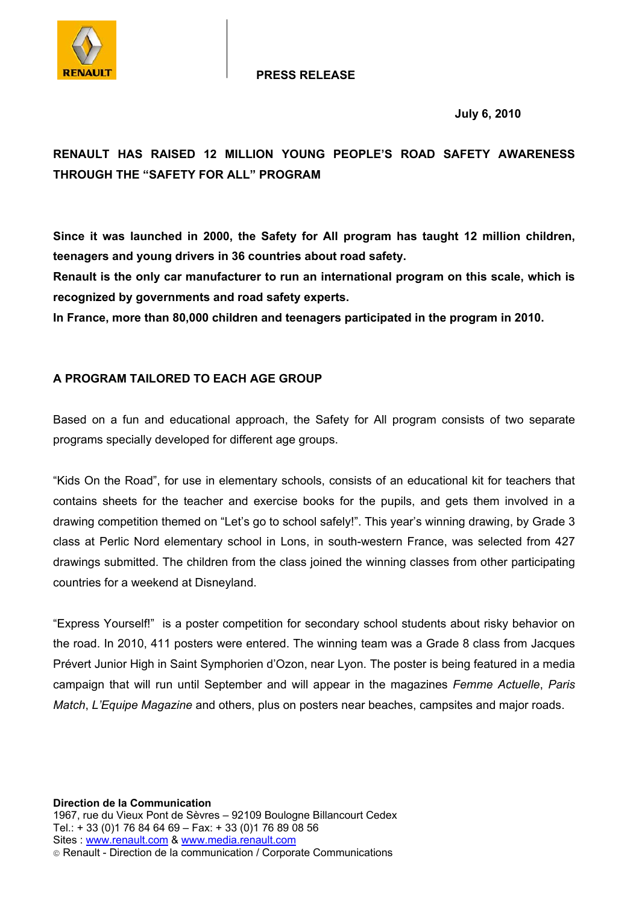

## **PRESS RELEASE**

 **July 6, 2010** 

## **RENAULT HAS RAISED 12 MILLION YOUNG PEOPLE'S ROAD SAFETY AWARENESS THROUGH THE "SAFETY FOR ALL" PROGRAM**

**Since it was launched in 2000, the Safety for All program has taught 12 million children, teenagers and young drivers in 36 countries about road safety.** 

**Renault is the only car manufacturer to run an international program on this scale, which is recognized by governments and road safety experts.**

**In France, more than 80,000 children and teenagers participated in the program in 2010.** 

## **A PROGRAM TAILORED TO EACH AGE GROUP**

Based on a fun and educational approach, the Safety for All program consists of two separate programs specially developed for different age groups.

"Kids On the Road", for use in elementary schools, consists of an educational kit for teachers that contains sheets for the teacher and exercise books for the pupils, and gets them involved in a drawing competition themed on "Let's go to school safely!". This year's winning drawing, by Grade 3 class at Perlic Nord elementary school in Lons, in south-western France, was selected from 427 drawings submitted. The children from the class joined the winning classes from other participating countries for a weekend at Disneyland.

"Express Yourself!" is a poster competition for secondary school students about risky behavior on the road. In 2010, 411 posters were entered. The winning team was a Grade 8 class from Jacques Prévert Junior High in Saint Symphorien d'Ozon, near Lyon. The poster is being featured in a media campaign that will run until September and will appear in the magazines *Femme Actuelle*, *Paris Match*, *L'Equipe Magazine* and others, plus on posters near beaches, campsites and major roads.